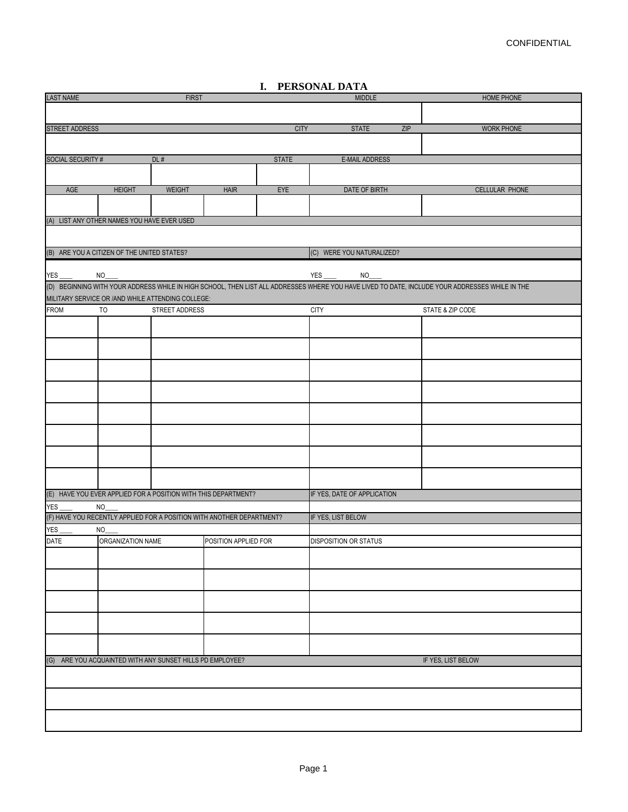| <b>LAST NAME</b>     |                                                                       | <b>FIRST</b>   |                      |              | MIDDLE                       |     | HOME PHONE                                                                                                                                      |  |
|----------------------|-----------------------------------------------------------------------|----------------|----------------------|--------------|------------------------------|-----|-------------------------------------------------------------------------------------------------------------------------------------------------|--|
|                      |                                                                       |                |                      |              |                              |     |                                                                                                                                                 |  |
|                      |                                                                       |                |                      |              |                              |     |                                                                                                                                                 |  |
| STREET ADDRESS       |                                                                       |                |                      | <b>CITY</b>  | <b>STATE</b>                 | ZIP | <b>WORK PHONE</b>                                                                                                                               |  |
|                      |                                                                       |                |                      |              |                              |     |                                                                                                                                                 |  |
|                      |                                                                       |                |                      |              |                              |     |                                                                                                                                                 |  |
| SOCIAL SECURITY #    |                                                                       | DL#            |                      | <b>STATE</b> | <b>E-MAIL ADDRESS</b>        |     |                                                                                                                                                 |  |
|                      |                                                                       |                |                      |              |                              |     |                                                                                                                                                 |  |
|                      |                                                                       |                |                      |              |                              |     |                                                                                                                                                 |  |
| AGE                  | <b>HEIGHT</b>                                                         | <b>WEIGHT</b>  | <b>HAIR</b>          | EYE          | DATE OF BIRTH                |     | <b>CELLULAR PHONE</b>                                                                                                                           |  |
|                      |                                                                       |                |                      |              |                              |     |                                                                                                                                                 |  |
|                      |                                                                       |                |                      |              |                              |     |                                                                                                                                                 |  |
|                      | (A) LIST ANY OTHER NAMES YOU HAVE EVER USED                           |                |                      |              |                              |     |                                                                                                                                                 |  |
|                      |                                                                       |                |                      |              |                              |     |                                                                                                                                                 |  |
|                      | (B) ARE YOU A CITIZEN OF THE UNITED STATES?                           |                |                      |              | (C) WERE YOU NATURALIZED?    |     |                                                                                                                                                 |  |
|                      |                                                                       |                |                      |              |                              |     |                                                                                                                                                 |  |
| $YES$ <sub>___</sub> | $NO_$                                                                 |                |                      |              | $NO_{-}$                     |     |                                                                                                                                                 |  |
|                      |                                                                       |                |                      |              |                              |     | (D) BEGINNING WITH YOUR ADDRESS WHILE IN HIGH SCHOOL, THEN LIST ALL ADDRESSES WHERE YOU HAVE LIVED TO DATE, INCLUDE YOUR ADDRESSES WHILE IN THE |  |
|                      |                                                                       |                |                      |              |                              |     |                                                                                                                                                 |  |
|                      | MILITARY SERVICE OR / AND WHILE ATTENDING COLLEGE:                    |                |                      |              |                              |     |                                                                                                                                                 |  |
| FROM                 | TO                                                                    | STREET ADDRESS |                      |              | <b>CITY</b>                  |     | STATE & ZIP CODE                                                                                                                                |  |
|                      |                                                                       |                |                      |              |                              |     |                                                                                                                                                 |  |
|                      |                                                                       |                |                      |              |                              |     |                                                                                                                                                 |  |
|                      |                                                                       |                |                      |              |                              |     |                                                                                                                                                 |  |
|                      |                                                                       |                |                      |              |                              |     |                                                                                                                                                 |  |
|                      |                                                                       |                |                      |              |                              |     |                                                                                                                                                 |  |
|                      |                                                                       |                |                      |              |                              |     |                                                                                                                                                 |  |
|                      |                                                                       |                |                      |              |                              |     |                                                                                                                                                 |  |
|                      |                                                                       |                |                      |              |                              |     |                                                                                                                                                 |  |
|                      |                                                                       |                |                      |              |                              |     |                                                                                                                                                 |  |
|                      |                                                                       |                |                      |              |                              |     |                                                                                                                                                 |  |
|                      |                                                                       |                |                      |              |                              |     |                                                                                                                                                 |  |
|                      |                                                                       |                |                      |              |                              |     |                                                                                                                                                 |  |
|                      |                                                                       |                |                      |              |                              |     |                                                                                                                                                 |  |
|                      |                                                                       |                |                      |              |                              |     |                                                                                                                                                 |  |
|                      |                                                                       |                |                      |              |                              |     |                                                                                                                                                 |  |
|                      | (E) HAVE YOU EVER APPLIED FOR A POSITION WITH THIS DEPARTMENT?        |                |                      |              | IF YES, DATE OF APPLICATION  |     |                                                                                                                                                 |  |
| YES_                 | NO                                                                    |                |                      |              |                              |     |                                                                                                                                                 |  |
|                      | (F) HAVE YOU RECENTLY APPLIED FOR A POSITION WITH ANOTHER DEPARTMENT? |                |                      |              | IF YES, LIST BELOW           |     |                                                                                                                                                 |  |
|                      |                                                                       |                |                      |              |                              |     |                                                                                                                                                 |  |
| $YES_$               | $NO_$                                                                 |                |                      |              |                              |     |                                                                                                                                                 |  |
| DATE                 | ORGANIZATION NAME                                                     |                | POSITION APPLIED FOR |              | <b>DISPOSITION OR STATUS</b> |     |                                                                                                                                                 |  |
|                      |                                                                       |                |                      |              |                              |     |                                                                                                                                                 |  |
|                      |                                                                       |                |                      |              |                              |     |                                                                                                                                                 |  |
|                      |                                                                       |                |                      |              |                              |     |                                                                                                                                                 |  |
|                      |                                                                       |                |                      |              |                              |     |                                                                                                                                                 |  |
|                      |                                                                       |                |                      |              |                              |     |                                                                                                                                                 |  |
|                      |                                                                       |                |                      |              |                              |     |                                                                                                                                                 |  |
|                      |                                                                       |                |                      |              |                              |     |                                                                                                                                                 |  |
|                      |                                                                       |                |                      |              |                              |     |                                                                                                                                                 |  |
|                      |                                                                       |                |                      |              |                              |     |                                                                                                                                                 |  |
|                      | (G) ARE YOU ACQUAINTED WITH ANY SUNSET HILLS PD EMPLOYEE?             |                |                      |              |                              |     | IF YES, LIST BELOW                                                                                                                              |  |
|                      |                                                                       |                |                      |              |                              |     |                                                                                                                                                 |  |
|                      |                                                                       |                |                      |              |                              |     |                                                                                                                                                 |  |
|                      |                                                                       |                |                      |              |                              |     |                                                                                                                                                 |  |
|                      |                                                                       |                |                      |              |                              |     |                                                                                                                                                 |  |
|                      |                                                                       |                |                      |              |                              |     |                                                                                                                                                 |  |
|                      |                                                                       |                |                      |              |                              |     |                                                                                                                                                 |  |
|                      |                                                                       |                |                      |              |                              |     |                                                                                                                                                 |  |

## **I. PERSONAL DATA**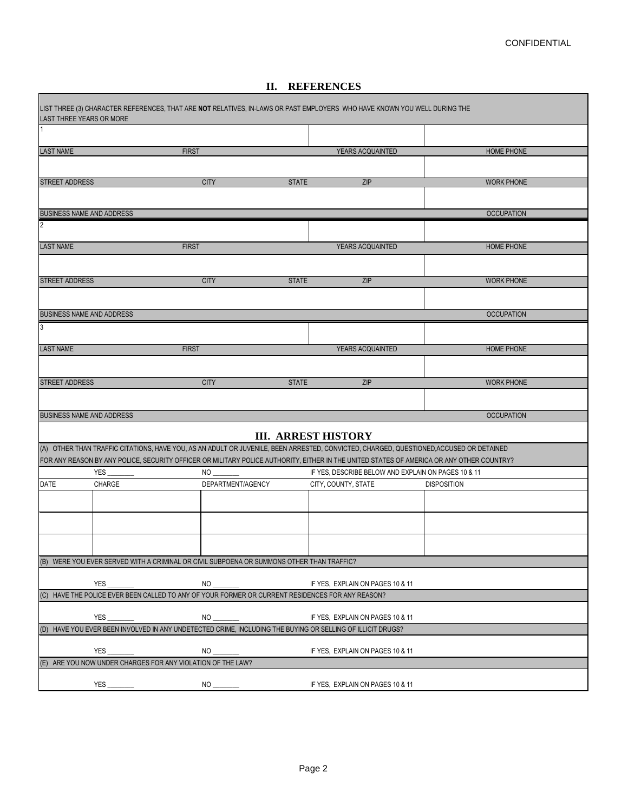## **II. REFERENCES**

|                       | <b>LAST THREE YEARS OR MORE</b>              | LIST THREE (3) CHARACTER REFERENCES, THAT ARE NOT RELATIVES, IN-LAWS OR PAST EMPLOYERS WHO HAVE KNOWN YOU WELL DURING THE                 |                            |                                                                            |                    |
|-----------------------|----------------------------------------------|-------------------------------------------------------------------------------------------------------------------------------------------|----------------------------|----------------------------------------------------------------------------|--------------------|
| l 1                   |                                              |                                                                                                                                           |                            |                                                                            |                    |
| <b>LAST NAME</b>      |                                              | <b>FIRST</b>                                                                                                                              |                            | YEARS ACQUAINTED                                                           | <b>HOME PHONE</b>  |
|                       |                                              |                                                                                                                                           |                            |                                                                            |                    |
| <b>STREET ADDRESS</b> |                                              | <b>CITY</b>                                                                                                                               | <b>STATE</b>               | <b>ZIP</b>                                                                 | <b>WORK PHONE</b>  |
|                       |                                              |                                                                                                                                           |                            |                                                                            |                    |
|                       | <b>BUSINESS NAME AND ADDRESS</b>             |                                                                                                                                           |                            |                                                                            | <b>OCCUPATION</b>  |
| $\overline{2}$        |                                              |                                                                                                                                           |                            |                                                                            |                    |
| <b>LAST NAME</b>      |                                              | <b>FIRST</b>                                                                                                                              |                            | YEARS ACQUAINTED                                                           | <b>HOME PHONE</b>  |
|                       |                                              |                                                                                                                                           |                            |                                                                            |                    |
| <b>STREET ADDRESS</b> |                                              | <b>CITY</b>                                                                                                                               | <b>STATE</b>               | <b>ZIP</b>                                                                 | <b>WORK PHONE</b>  |
|                       |                                              |                                                                                                                                           |                            |                                                                            |                    |
|                       |                                              |                                                                                                                                           |                            |                                                                            |                    |
| $\overline{3}$        | <b>BUSINESS NAME AND ADDRESS</b>             |                                                                                                                                           |                            |                                                                            | <b>OCCUPATION</b>  |
|                       |                                              |                                                                                                                                           |                            |                                                                            |                    |
| <b>LAST NAME</b>      |                                              | <b>FIRST</b>                                                                                                                              |                            | YEARS ACQUAINTED                                                           | <b>HOME PHONE</b>  |
|                       |                                              |                                                                                                                                           |                            |                                                                            |                    |
| <b>STREET ADDRESS</b> |                                              | <b>CITY</b>                                                                                                                               | <b>STATE</b>               | ZIP                                                                        | <b>WORK PHONE</b>  |
|                       |                                              |                                                                                                                                           |                            |                                                                            |                    |
|                       | <b>BUSINESS NAME AND ADDRESS</b>             |                                                                                                                                           |                            |                                                                            | <b>OCCUPATION</b>  |
|                       |                                              |                                                                                                                                           | <b>III. ARREST HISTORY</b> |                                                                            |                    |
|                       |                                              | (A) OTHER THAN TRAFFIC CITATIONS, HAVE YOU, AS AN ADULT OR JUVENILE, BEEN ARRESTED, CONVICTED, CHARGED, QUESTIONED, ACCUSED OR DETAINED   |                            |                                                                            |                    |
|                       |                                              | FOR ANY REASON BY ANY POLICE, SECURITY OFFICER OR MILITARY POLICE AUTHORITY, EITHER IN THE UNITED STATES OF AMERICA OR ANY OTHER COUNTRY? |                            |                                                                            |                    |
| <b>DATE</b>           | <b>YES</b><br>CHARGE                         | <b>NO</b><br>DEPARTMENT/AGENCY                                                                                                            |                            | IF YES, DESCRIBE BELOW AND EXPLAIN ON PAGES 10 & 11<br>CITY, COUNTY, STATE | <b>DISPOSITION</b> |
|                       |                                              |                                                                                                                                           |                            |                                                                            |                    |
|                       |                                              |                                                                                                                                           |                            |                                                                            |                    |
|                       |                                              |                                                                                                                                           |                            |                                                                            |                    |
|                       |                                              |                                                                                                                                           |                            |                                                                            |                    |
| (B)                   |                                              | WERE YOU EVER SERVED WITH A CRIMINAL OR CIVIL SUBPOENA OR SUMMONS OTHER THAN TRAFFIC?                                                     |                            |                                                                            |                    |
|                       |                                              |                                                                                                                                           |                            |                                                                            |                    |
| (C)                   | YES_<br><u>and</u> a state of the state      | $NO_{-}$<br>HAVE THE POLICE EVER BEEN CALLED TO ANY OF YOUR FORMER OR CURRENT RESIDENCES FOR ANY REASON?                                  |                            | IF YES, EXPLAIN ON PAGES 10 & 11                                           |                    |
|                       |                                              |                                                                                                                                           |                            |                                                                            |                    |
|                       | YES_<br><u>and</u> a straight and a straight | $NO_$<br>(D) HAVE YOU EVER BEEN INVOLVED IN ANY UNDETECTED CRIME, INCLUDING THE BUYING OR SELLING OF ILLICIT DRUGS?                       |                            | IF YES, EXPLAIN ON PAGES 10 & 11                                           |                    |
|                       |                                              |                                                                                                                                           |                            |                                                                            |                    |
|                       | YES                                          | <b>NO</b>                                                                                                                                 |                            | IF YES, EXPLAIN ON PAGES 10 & 11                                           |                    |
|                       |                                              | (E) ARE YOU NOW UNDER CHARGES FOR ANY VIOLATION OF THE LAW?                                                                               |                            |                                                                            |                    |
|                       |                                              |                                                                                                                                           |                            | IF YES, EXPLAIN ON PAGES 10 & 11                                           |                    |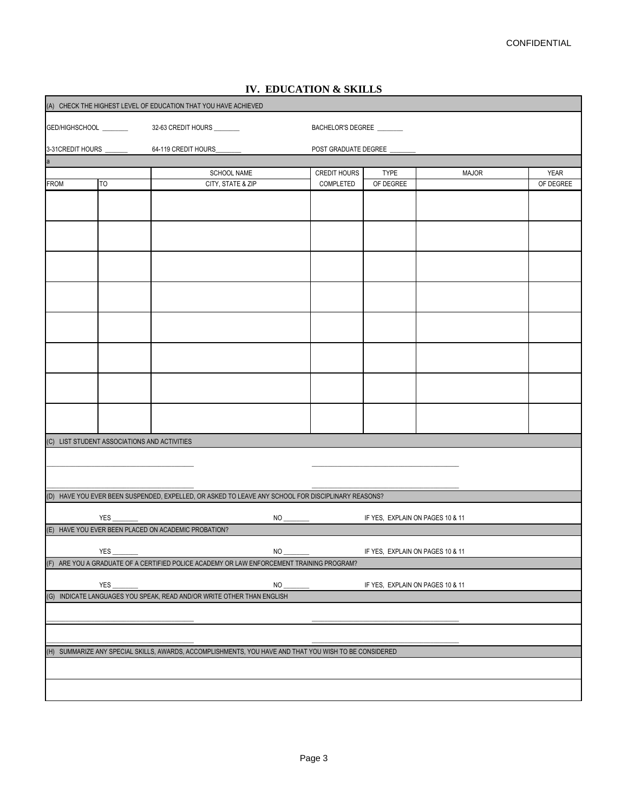| (A) CHECK THE HIGHEST LEVEL OF EDUCATION THAT YOU HAVE ACHIEVED |           |                                                                                                        |          |                          |                                  |              |             |  |  |
|-----------------------------------------------------------------|-----------|--------------------------------------------------------------------------------------------------------|----------|--------------------------|----------------------------------|--------------|-------------|--|--|
|                                                                 |           |                                                                                                        |          | BACHELOR'S DEGREE        |                                  |              |             |  |  |
|                                                                 |           |                                                                                                        |          | POST GRADUATE DEGREE     |                                  |              |             |  |  |
| la.                                                             |           |                                                                                                        |          |                          |                                  |              |             |  |  |
|                                                                 |           | SCHOOL NAME                                                                                            |          | <b>CREDIT HOURS</b>      | <b>TYPE</b>                      | <b>MAJOR</b> | <b>YEAR</b> |  |  |
| FROM                                                            | <b>TO</b> | CITY, STATE & ZIP                                                                                      |          | COMPLETED                | OF DEGREE                        |              | OF DEGREE   |  |  |
|                                                                 |           |                                                                                                        |          |                          |                                  |              |             |  |  |
|                                                                 |           |                                                                                                        |          |                          |                                  |              |             |  |  |
|                                                                 |           |                                                                                                        |          |                          |                                  |              |             |  |  |
|                                                                 |           |                                                                                                        |          |                          |                                  |              |             |  |  |
|                                                                 |           |                                                                                                        |          |                          |                                  |              |             |  |  |
|                                                                 |           |                                                                                                        |          |                          |                                  |              |             |  |  |
|                                                                 |           |                                                                                                        |          |                          |                                  |              |             |  |  |
|                                                                 |           |                                                                                                        |          |                          |                                  |              |             |  |  |
|                                                                 |           |                                                                                                        |          |                          |                                  |              |             |  |  |
| (C) LIST STUDENT ASSOCIATIONS AND ACTIVITIES                    |           |                                                                                                        |          |                          |                                  |              |             |  |  |
|                                                                 |           |                                                                                                        |          |                          |                                  |              |             |  |  |
|                                                                 |           |                                                                                                        |          |                          |                                  |              |             |  |  |
|                                                                 |           | (D) HAVE YOU EVER BEEN SUSPENDED, EXPELLED, OR ASKED TO LEAVE ANY SCHOOL FOR DISCIPLINARY REASONS?     |          |                          |                                  |              |             |  |  |
|                                                                 | YES       |                                                                                                        |          |                          | IF YES, EXPLAIN ON PAGES 10 & 11 |              |             |  |  |
|                                                                 |           | (E) HAVE YOU EVER BEEN PLACED ON ACADEMIC PROBATION?                                                   |          |                          |                                  |              |             |  |  |
|                                                                 | YES       |                                                                                                        | $NO_$    | <u>and</u> and the state | IF YES, EXPLAIN ON PAGES 10 & 11 |              |             |  |  |
|                                                                 |           | (F) ARE YOU A GRADUATE OF A CERTIFIED POLICE ACADEMY OR LAW ENFORCEMENT TRAINING PROGRAM?              |          |                          |                                  |              |             |  |  |
|                                                                 | YES_      |                                                                                                        | $NO_{-}$ |                          | IF YES, EXPLAIN ON PAGES 10 & 11 |              |             |  |  |
|                                                                 |           | (G) INDICATE LANGUAGES YOU SPEAK, READ AND/OR WRITE OTHER THAN ENGLISH                                 |          |                          |                                  |              |             |  |  |
|                                                                 |           |                                                                                                        |          |                          |                                  |              |             |  |  |
|                                                                 |           | (H) SUMMARIZE ANY SPECIAL SKILLS, AWARDS, ACCOMPLISHMENTS, YOU HAVE AND THAT YOU WISH TO BE CONSIDERED |          |                          |                                  |              |             |  |  |
|                                                                 |           |                                                                                                        |          |                          |                                  |              |             |  |  |
|                                                                 |           |                                                                                                        |          |                          |                                  |              |             |  |  |
|                                                                 |           |                                                                                                        |          |                          |                                  |              |             |  |  |

# **IV. EDUCATION & SKILLS**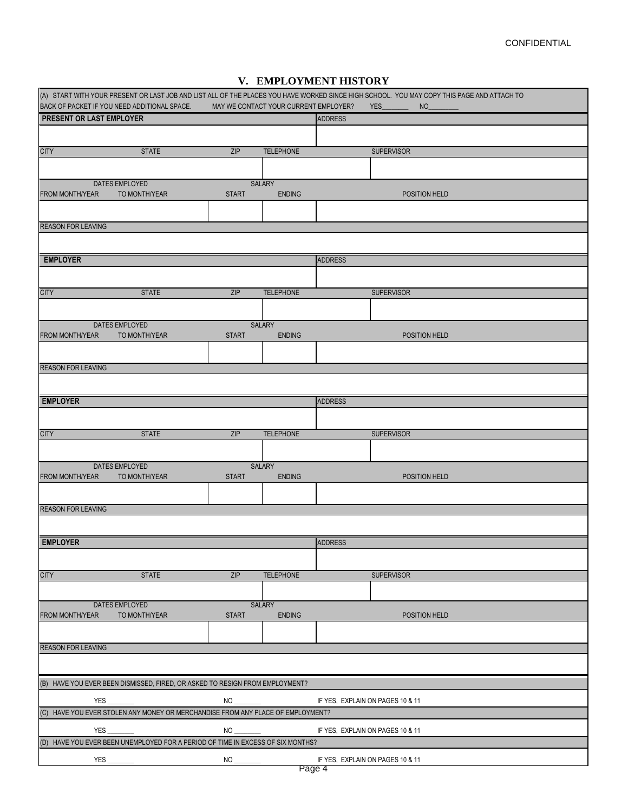|  |  | V. EMPLOYMENT HISTORY |  |  |
|--|--|-----------------------|--|--|
|--|--|-----------------------|--|--|

|                                 | BACK OF PACKET IF YOU NEED ADDITIONAL SPACE.                                    |              | MAY WE CONTACT YOUR CURRENT EMPLOYER? |                | (A) START WITH YOUR PRESENT OR LAST JOB AND LIST ALL OF THE PLACES YOU HAVE WORKED SINCE HIGH SCHOOL. YOU MAY COPY THIS PAGE AND ATTACH TO<br><b>YES</b><br>N <sub>O</sub> |
|---------------------------------|---------------------------------------------------------------------------------|--------------|---------------------------------------|----------------|----------------------------------------------------------------------------------------------------------------------------------------------------------------------------|
| <b>PRESENT OR LAST EMPLOYER</b> |                                                                                 |              |                                       | <b>ADDRESS</b> |                                                                                                                                                                            |
|                                 |                                                                                 |              |                                       |                |                                                                                                                                                                            |
| <b>CITY</b>                     | <b>STATE</b>                                                                    | ZIP          | <b>TELEPHONE</b>                      |                | <b>SUPERVISOR</b>                                                                                                                                                          |
|                                 |                                                                                 |              |                                       |                |                                                                                                                                                                            |
|                                 |                                                                                 |              |                                       |                |                                                                                                                                                                            |
| <b>FROM MONTH/YEAR</b>          | DATES EMPLOYED<br>TO MONTH/YEAR                                                 | <b>START</b> | SALARY<br><b>ENDING</b>               |                | POSITION HELD                                                                                                                                                              |
|                                 |                                                                                 |              |                                       |                |                                                                                                                                                                            |
|                                 |                                                                                 |              |                                       |                |                                                                                                                                                                            |
| <b>REASON FOR LEAVING</b>       |                                                                                 |              |                                       |                |                                                                                                                                                                            |
|                                 |                                                                                 |              |                                       |                |                                                                                                                                                                            |
| <b>EMPLOYER</b>                 |                                                                                 |              |                                       | <b>ADDRESS</b> |                                                                                                                                                                            |
|                                 |                                                                                 |              |                                       |                |                                                                                                                                                                            |
|                                 |                                                                                 |              |                                       |                |                                                                                                                                                                            |
| <b>CITY</b>                     | <b>STATE</b>                                                                    | ZIP          | <b>TELEPHONE</b>                      |                | <b>SUPERVISOR</b>                                                                                                                                                          |
|                                 |                                                                                 |              |                                       |                |                                                                                                                                                                            |
|                                 | DATES EMPLOYED                                                                  |              | <b>SALARY</b>                         |                |                                                                                                                                                                            |
| <b>FROM MONTH/YEAR</b>          | TO MONTH/YEAR                                                                   | <b>START</b> | <b>ENDING</b>                         |                | POSITION HELD                                                                                                                                                              |
|                                 |                                                                                 |              |                                       |                |                                                                                                                                                                            |
| <b>REASON FOR LEAVING</b>       |                                                                                 |              |                                       |                |                                                                                                                                                                            |
|                                 |                                                                                 |              |                                       |                |                                                                                                                                                                            |
| <b>EMPLOYER</b>                 |                                                                                 |              |                                       | <b>ADDRESS</b> |                                                                                                                                                                            |
|                                 |                                                                                 |              |                                       |                |                                                                                                                                                                            |
|                                 |                                                                                 |              |                                       |                |                                                                                                                                                                            |
| <b>CITY</b>                     | <b>STATE</b>                                                                    | ZIP          | <b>TELEPHONE</b>                      |                | <b>SUPERVISOR</b>                                                                                                                                                          |
|                                 |                                                                                 |              |                                       |                |                                                                                                                                                                            |
|                                 | DATES EMPLOYED                                                                  |              | <b>SALARY</b>                         |                |                                                                                                                                                                            |
| <b>FROM MONTH/YEAR</b>          | TO MONTH/YEAR                                                                   | <b>START</b> | <b>ENDING</b>                         |                | POSITION HELD                                                                                                                                                              |
|                                 |                                                                                 |              |                                       |                |                                                                                                                                                                            |
| <b>REASON FOR LEAVING</b>       |                                                                                 |              |                                       |                |                                                                                                                                                                            |
|                                 |                                                                                 |              |                                       |                |                                                                                                                                                                            |
|                                 |                                                                                 |              |                                       |                |                                                                                                                                                                            |
| <b>EMPLOYER</b>                 |                                                                                 |              |                                       | <b>ADDRESS</b> |                                                                                                                                                                            |
|                                 |                                                                                 |              |                                       |                |                                                                                                                                                                            |
| <b>CITY</b>                     | <b>STATE</b>                                                                    | ZIP          | <b>TELEPHONE</b>                      |                | <b>SUPERVISOR</b>                                                                                                                                                          |
|                                 |                                                                                 |              |                                       |                |                                                                                                                                                                            |
|                                 | DATES EMPLOYED                                                                  |              | SALARY                                |                |                                                                                                                                                                            |
| <b>FROM MONTH/YEAR</b>          | TO MONTH/YEAR                                                                   | <b>START</b> | <b>ENDING</b>                         |                | POSITION HELD                                                                                                                                                              |
|                                 |                                                                                 |              |                                       |                |                                                                                                                                                                            |
| <b>REASON FOR LEAVING</b>       |                                                                                 |              |                                       |                |                                                                                                                                                                            |
|                                 |                                                                                 |              |                                       |                |                                                                                                                                                                            |
|                                 |                                                                                 |              |                                       |                |                                                                                                                                                                            |
|                                 | (B) HAVE YOU EVER BEEN DISMISSED, FIRED, OR ASKED TO RESIGN FROM EMPLOYMENT?    |              |                                       |                |                                                                                                                                                                            |
| YES                             |                                                                                 |              |                                       |                |                                                                                                                                                                            |
|                                 | (C) HAVE YOU EVER STOLEN ANY MONEY OR MERCHANDISE FROM ANY PLACE OF EMPLOYMENT? |              |                                       |                |                                                                                                                                                                            |
| YES                             | <u> 1980 - John Barnett, fransk politiker (</u>                                 |              |                                       |                | IF YES, EXPLAIN ON PAGES 10 & 11                                                                                                                                           |
|                                 | (D) HAVE YOU EVER BEEN UNEMPLOYED FOR A PERIOD OF TIME IN EXCESS OF SIX MONTHS? |              |                                       |                |                                                                                                                                                                            |
|                                 | $YES \_\_\_\_\_\$                                                               |              |                                       |                |                                                                                                                                                                            |
|                                 |                                                                                 |              |                                       | Page 4         |                                                                                                                                                                            |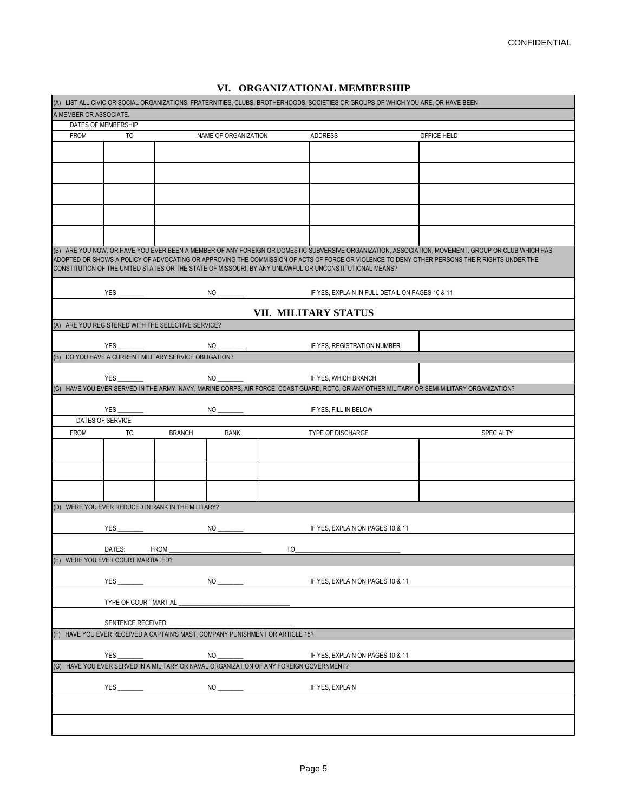|  | VI. ORGANIZATIONAL MEMBERSHIP |  |  |  |  |  |
|--|-------------------------------|--|--|--|--|--|
|--|-------------------------------|--|--|--|--|--|

| (A) LIST ALL CIVIC OR SOCIAL ORGANIZATIONS, FRATERNITIES, CLUBS, BROTHERHOODS, SOCIETIES OR GROUPS OF WHICH YOU ARE, OR HAVE BEEN |                                |                                                        |                                                                                         |  |                                                                                                        |                                                                                                                                                                                                                                                                                                                                                                 |  |  |  |
|-----------------------------------------------------------------------------------------------------------------------------------|--------------------------------|--------------------------------------------------------|-----------------------------------------------------------------------------------------|--|--------------------------------------------------------------------------------------------------------|-----------------------------------------------------------------------------------------------------------------------------------------------------------------------------------------------------------------------------------------------------------------------------------------------------------------------------------------------------------------|--|--|--|
| A MEMBER OR ASSOCIATE.                                                                                                            |                                |                                                        |                                                                                         |  |                                                                                                        |                                                                                                                                                                                                                                                                                                                                                                 |  |  |  |
| DATES OF MEMBERSHIP                                                                                                               |                                |                                                        |                                                                                         |  |                                                                                                        |                                                                                                                                                                                                                                                                                                                                                                 |  |  |  |
| <b>FROM</b>                                                                                                                       | T <sub>O</sub>                 |                                                        | NAME OF ORGANIZATION                                                                    |  | <b>ADDRESS</b>                                                                                         | OFFICE HELD                                                                                                                                                                                                                                                                                                                                                     |  |  |  |
|                                                                                                                                   |                                |                                                        |                                                                                         |  |                                                                                                        |                                                                                                                                                                                                                                                                                                                                                                 |  |  |  |
|                                                                                                                                   |                                |                                                        |                                                                                         |  |                                                                                                        |                                                                                                                                                                                                                                                                                                                                                                 |  |  |  |
|                                                                                                                                   |                                |                                                        |                                                                                         |  |                                                                                                        |                                                                                                                                                                                                                                                                                                                                                                 |  |  |  |
|                                                                                                                                   |                                |                                                        |                                                                                         |  |                                                                                                        |                                                                                                                                                                                                                                                                                                                                                                 |  |  |  |
|                                                                                                                                   |                                |                                                        |                                                                                         |  |                                                                                                        |                                                                                                                                                                                                                                                                                                                                                                 |  |  |  |
|                                                                                                                                   |                                |                                                        |                                                                                         |  | CONSTITUTION OF THE UNITED STATES OR THE STATE OF MISSOURI, BY ANY UNLAWFUL OR UNCONSTITUTIONAL MEANS? | (B) ARE YOU NOW, OR HAVE YOU EVER BEEN A MEMBER OF ANY FOREIGN OR DOMESTIC SUBVERSIVE ORGANIZATION, ASSOCIATION, MOVEMENT, GROUP OR CLUB WHICH HAS<br>ADOPTED OR SHOWS A POLICY OF ADVOCATING OR APPROVING THE COMMISSION OF ACTS OF FORCE OR VIOLENCE TO DENY OTHER PERSONS THEIR RIGHTS UNDER THE                                                             |  |  |  |
|                                                                                                                                   |                                |                                                        |                                                                                         |  |                                                                                                        |                                                                                                                                                                                                                                                                                                                                                                 |  |  |  |
|                                                                                                                                   |                                |                                                        |                                                                                         |  | VII. MILITARY STATUS                                                                                   |                                                                                                                                                                                                                                                                                                                                                                 |  |  |  |
|                                                                                                                                   |                                | (A) ARE YOU REGISTERED WITH THE SELECTIVE SERVICE?     |                                                                                         |  |                                                                                                        |                                                                                                                                                                                                                                                                                                                                                                 |  |  |  |
|                                                                                                                                   |                                |                                                        |                                                                                         |  | IF YES, REGISTRATION NUMBER                                                                            |                                                                                                                                                                                                                                                                                                                                                                 |  |  |  |
|                                                                                                                                   |                                | (B) DO YOU HAVE A CURRENT MILITARY SERVICE OBLIGATION? |                                                                                         |  |                                                                                                        |                                                                                                                                                                                                                                                                                                                                                                 |  |  |  |
|                                                                                                                                   |                                |                                                        |                                                                                         |  |                                                                                                        |                                                                                                                                                                                                                                                                                                                                                                 |  |  |  |
|                                                                                                                                   |                                |                                                        |                                                                                         |  |                                                                                                        | (C) HAVE YOU EVER SERVED IN THE ARMY, NAVY, MARINE CORPS, AIR FORCE, COAST GUARD, ROTC, OR ANY OTHER MILITARY OR SEMI-MILITARY ORGANIZATION?                                                                                                                                                                                                                    |  |  |  |
|                                                                                                                                   |                                |                                                        |                                                                                         |  |                                                                                                        |                                                                                                                                                                                                                                                                                                                                                                 |  |  |  |
|                                                                                                                                   | YES                            |                                                        |                                                                                         |  | IF YES, FILL IN BELOW                                                                                  |                                                                                                                                                                                                                                                                                                                                                                 |  |  |  |
|                                                                                                                                   | DATES OF SERVICE               |                                                        |                                                                                         |  |                                                                                                        |                                                                                                                                                                                                                                                                                                                                                                 |  |  |  |
| <b>FROM</b>                                                                                                                       | TO                             | <b>BRANCH</b>                                          | <b>RANK</b>                                                                             |  | TYPE OF DISCHARGE                                                                                      | SPECIALTY                                                                                                                                                                                                                                                                                                                                                       |  |  |  |
|                                                                                                                                   |                                |                                                        |                                                                                         |  |                                                                                                        |                                                                                                                                                                                                                                                                                                                                                                 |  |  |  |
|                                                                                                                                   |                                |                                                        |                                                                                         |  |                                                                                                        |                                                                                                                                                                                                                                                                                                                                                                 |  |  |  |
|                                                                                                                                   |                                |                                                        |                                                                                         |  |                                                                                                        |                                                                                                                                                                                                                                                                                                                                                                 |  |  |  |
|                                                                                                                                   |                                | (D) WERE YOU EVER REDUCED IN RANK IN THE MILITARY?     |                                                                                         |  |                                                                                                        |                                                                                                                                                                                                                                                                                                                                                                 |  |  |  |
|                                                                                                                                   | <b>YES</b>                     |                                                        |                                                                                         |  |                                                                                                        |                                                                                                                                                                                                                                                                                                                                                                 |  |  |  |
|                                                                                                                                   | DATES:                         | FROM_                                                  |                                                                                         |  |                                                                                                        | $\overline{10}$ $\overline{10}$ $\overline{10}$ $\overline{10}$ $\overline{10}$ $\overline{10}$ $\overline{10}$ $\overline{10}$ $\overline{10}$ $\overline{10}$ $\overline{10}$ $\overline{10}$ $\overline{10}$ $\overline{10}$ $\overline{10}$ $\overline{10}$ $\overline{10}$ $\overline{10}$ $\overline{10}$ $\overline{10}$ $\overline{10}$ $\overline{10}$ |  |  |  |
| (E)                                                                                                                               | WERE YOU EVER COURT MARTIALED? |                                                        |                                                                                         |  |                                                                                                        |                                                                                                                                                                                                                                                                                                                                                                 |  |  |  |
|                                                                                                                                   | <b>YES</b>                     |                                                        |                                                                                         |  |                                                                                                        |                                                                                                                                                                                                                                                                                                                                                                 |  |  |  |
|                                                                                                                                   |                                |                                                        |                                                                                         |  |                                                                                                        |                                                                                                                                                                                                                                                                                                                                                                 |  |  |  |
|                                                                                                                                   | SENTENCE RECEIVED              |                                                        |                                                                                         |  |                                                                                                        |                                                                                                                                                                                                                                                                                                                                                                 |  |  |  |
|                                                                                                                                   |                                |                                                        | HAVE YOU EVER RECEIVED A CAPTAIN'S MAST, COMPANY PUNISHMENT OR ARTICLE 15?              |  |                                                                                                        |                                                                                                                                                                                                                                                                                                                                                                 |  |  |  |
|                                                                                                                                   |                                |                                                        |                                                                                         |  |                                                                                                        |                                                                                                                                                                                                                                                                                                                                                                 |  |  |  |
|                                                                                                                                   |                                |                                                        | (G) HAVE YOU EVER SERVED IN A MILITARY OR NAVAL ORGANIZATION OF ANY FOREIGN GOVERNMENT? |  |                                                                                                        |                                                                                                                                                                                                                                                                                                                                                                 |  |  |  |
|                                                                                                                                   |                                |                                                        |                                                                                         |  | IF YES, EXPLAIN                                                                                        |                                                                                                                                                                                                                                                                                                                                                                 |  |  |  |
|                                                                                                                                   |                                |                                                        |                                                                                         |  |                                                                                                        |                                                                                                                                                                                                                                                                                                                                                                 |  |  |  |
|                                                                                                                                   |                                |                                                        |                                                                                         |  |                                                                                                        |                                                                                                                                                                                                                                                                                                                                                                 |  |  |  |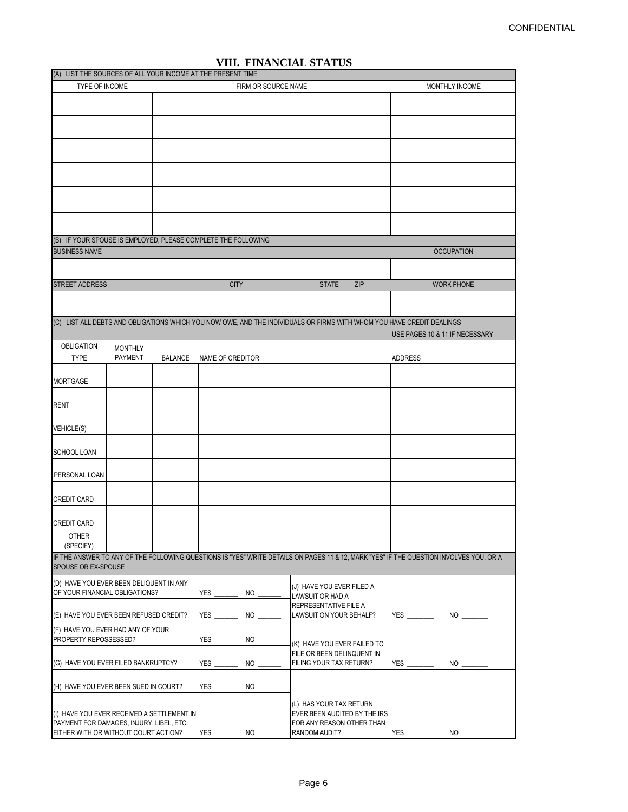| (A) LIST THE SOURCES OF ALL YOUR INCOME AT THE PRESENT TIME   |                |                |                  |                     |  |                                                                                                                       |                |                |                                                                                                                                        |
|---------------------------------------------------------------|----------------|----------------|------------------|---------------------|--|-----------------------------------------------------------------------------------------------------------------------|----------------|----------------|----------------------------------------------------------------------------------------------------------------------------------------|
| TYPE OF INCOME                                                |                |                |                  | FIRM OR SOURCE NAME |  |                                                                                                                       | MONTHLY INCOME |                |                                                                                                                                        |
|                                                               |                |                |                  |                     |  |                                                                                                                       |                |                |                                                                                                                                        |
|                                                               |                |                |                  |                     |  |                                                                                                                       |                |                |                                                                                                                                        |
|                                                               |                |                |                  |                     |  |                                                                                                                       |                |                |                                                                                                                                        |
|                                                               |                |                |                  |                     |  |                                                                                                                       |                |                |                                                                                                                                        |
|                                                               |                |                |                  |                     |  |                                                                                                                       |                |                |                                                                                                                                        |
|                                                               |                |                |                  |                     |  |                                                                                                                       |                |                |                                                                                                                                        |
|                                                               |                |                |                  |                     |  |                                                                                                                       |                |                |                                                                                                                                        |
|                                                               |                |                |                  |                     |  |                                                                                                                       |                |                |                                                                                                                                        |
|                                                               |                |                |                  |                     |  |                                                                                                                       |                |                |                                                                                                                                        |
|                                                               |                |                |                  |                     |  |                                                                                                                       |                |                |                                                                                                                                        |
|                                                               |                |                |                  |                     |  |                                                                                                                       |                |                |                                                                                                                                        |
| (B) IF YOUR SPOUSE IS EMPLOYED, PLEASE COMPLETE THE FOLLOWING |                |                |                  |                     |  |                                                                                                                       |                |                |                                                                                                                                        |
| <b>BUSINESS NAME</b>                                          |                |                |                  |                     |  |                                                                                                                       |                |                | <b>OCCUPATION</b>                                                                                                                      |
|                                                               |                |                |                  |                     |  |                                                                                                                       |                |                |                                                                                                                                        |
| <b>STREET ADDRESS</b>                                         |                |                |                  | <b>CITY</b>         |  | <b>STATE</b>                                                                                                          | ZIP            |                | <b>WORK PHONE</b>                                                                                                                      |
|                                                               |                |                |                  |                     |  |                                                                                                                       |                |                |                                                                                                                                        |
|                                                               |                |                |                  |                     |  |                                                                                                                       |                |                |                                                                                                                                        |
|                                                               |                |                |                  |                     |  | (C) LIST ALL DEBTS AND OBLIGATIONS WHICH YOU NOW OWE, AND THE INDIVIDUALS OR FIRMS WITH WHOM YOU HAVE CREDIT DEALINGS |                |                |                                                                                                                                        |
|                                                               |                |                |                  |                     |  |                                                                                                                       |                |                | USE PAGES 10 & 11 IF NECESSARY                                                                                                         |
| <b>OBLIGATION</b>                                             | <b>MONTHLY</b> |                |                  |                     |  |                                                                                                                       |                |                |                                                                                                                                        |
| <b>TYPE</b>                                                   | <b>PAYMENT</b> | <b>BALANCE</b> | NAME OF CREDITOR |                     |  |                                                                                                                       |                | <b>ADDRESS</b> |                                                                                                                                        |
| <b>MORTGAGE</b>                                               |                |                |                  |                     |  |                                                                                                                       |                |                |                                                                                                                                        |
|                                                               |                |                |                  |                     |  |                                                                                                                       |                |                |                                                                                                                                        |
| <b>RENT</b>                                                   |                |                |                  |                     |  |                                                                                                                       |                |                |                                                                                                                                        |
|                                                               |                |                |                  |                     |  |                                                                                                                       |                |                |                                                                                                                                        |
| <b>VEHICLE(S)</b>                                             |                |                |                  |                     |  |                                                                                                                       |                |                |                                                                                                                                        |
|                                                               |                |                |                  |                     |  |                                                                                                                       |                |                |                                                                                                                                        |
| <b>SCHOOL LOAN</b>                                            |                |                |                  |                     |  |                                                                                                                       |                |                |                                                                                                                                        |
|                                                               |                |                |                  |                     |  |                                                                                                                       |                |                |                                                                                                                                        |
| PERSONAL LOAN                                                 |                |                |                  |                     |  |                                                                                                                       |                |                |                                                                                                                                        |
| <b>CREDIT CARD</b>                                            |                |                |                  |                     |  |                                                                                                                       |                |                |                                                                                                                                        |
|                                                               |                |                |                  |                     |  |                                                                                                                       |                |                |                                                                                                                                        |
| <b>CREDIT CARD</b>                                            |                |                |                  |                     |  |                                                                                                                       |                |                |                                                                                                                                        |
| <b>OTHER</b>                                                  |                |                |                  |                     |  |                                                                                                                       |                |                |                                                                                                                                        |
| (SPECIFY)                                                     |                |                |                  |                     |  |                                                                                                                       |                |                |                                                                                                                                        |
| SPOUSE OR EX-SPOUSE                                           |                |                |                  |                     |  |                                                                                                                       |                |                | IF THE ANSWER TO ANY OF THE FOLLOWING QUESTIONS IS "YES" WRITE DETAILS ON PAGES 11 & 12, MARK "YES" IF THE QUESTION INVOLVES YOU, OR A |
| (D) HAVE YOU EVER BEEN DELIQUENT IN ANY                       |                |                |                  |                     |  | (J) HAVE YOU EVER FILED A                                                                                             |                |                |                                                                                                                                        |
| OF YOUR FINANCIAL OBLIGATIONS?                                |                |                | YES              | <b>NO</b>           |  | <b>LAWSUIT OR HAD A</b>                                                                                               |                |                |                                                                                                                                        |
|                                                               |                |                |                  |                     |  | REPRESENTATIVE FILE A                                                                                                 |                |                |                                                                                                                                        |
| (E) HAVE YOU EVER BEEN REFUSED CREDIT?                        |                |                | <b>YES</b>       | NO                  |  | LAWSUIT ON YOUR BEHALF?                                                                                               |                | <b>YES</b>     | <b>NO</b>                                                                                                                              |
| (F) HAVE YOU EVER HAD ANY OF YOUR                             |                |                |                  |                     |  |                                                                                                                       |                |                |                                                                                                                                        |
| PROPERTY REPOSSESSED?                                         |                |                | <b>YES</b>       | NO                  |  | (K) HAVE YOU EVER FAILED TO                                                                                           |                |                |                                                                                                                                        |
| (G) HAVE YOU EVER FILED BANKRUPTCY?                           |                |                |                  |                     |  | FILE OR BEEN DELINQUENT IN<br>FILING YOUR TAX RETURN?                                                                 |                | YES            | <b>NO</b>                                                                                                                              |
| NO<br>YES                                                     |                |                |                  |                     |  |                                                                                                                       |                |                |                                                                                                                                        |
| (H) HAVE YOU EVER BEEN SUED IN COURT?                         |                |                | YES $\_$         | NO.                 |  |                                                                                                                       |                |                |                                                                                                                                        |
|                                                               |                |                |                  |                     |  |                                                                                                                       |                |                |                                                                                                                                        |
| (I) HAVE YOU EVER RECEIVED A SETTLEMENT IN                    |                |                |                  |                     |  | (L) HAS YOUR TAX RETURN<br>EVER BEEN AUDITED BY THE IRS                                                               |                |                |                                                                                                                                        |
| PAYMENT FOR DAMAGES, INJURY, LIBEL, ETC.                      |                |                |                  |                     |  | FOR ANY REASON OTHER THAN                                                                                             |                |                |                                                                                                                                        |
| EITHER WITH OR WITHOUT COURT ACTION?                          |                |                | $YES$ $\qquad$   | NO.                 |  | RANDOM AUDIT?                                                                                                         |                | <b>YES</b>     | NO <sub>1</sub>                                                                                                                        |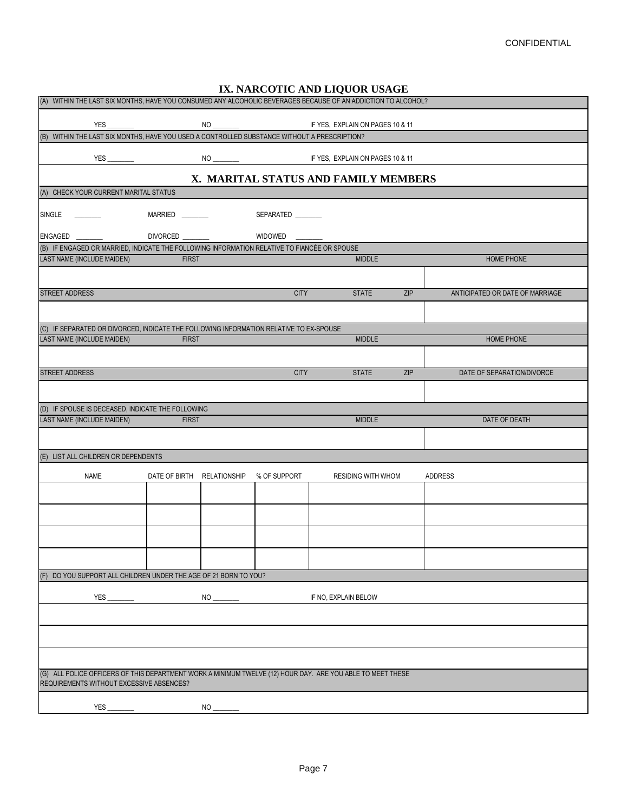| (A) WITHIN THE LAST SIX MONTHS, HAVE YOU CONSUMED ANY ALCOHOLIC BEVERAGES BECAUSE OF AN ADDICTION TO ALCOHOL? |  |                            |           | IX. NARCOTIC AND LIQUOR USAGE |                      |                           |            |                |                                 |  |
|---------------------------------------------------------------------------------------------------------------|--|----------------------------|-----------|-------------------------------|----------------------|---------------------------|------------|----------------|---------------------------------|--|
|                                                                                                               |  |                            |           |                               |                      |                           |            |                |                                 |  |
|                                                                                                               |  |                            |           |                               |                      |                           |            |                |                                 |  |
| YES_                                                                                                          |  |                            |           |                               |                      |                           |            |                |                                 |  |
|                                                                                                               |  |                            |           |                               |                      |                           |            |                |                                 |  |
| X. MARITAL STATUS AND FAMILY MEMBERS                                                                          |  |                            |           |                               |                      |                           |            |                |                                 |  |
| (A) CHECK YOUR CURRENT MARITAL STATUS                                                                         |  |                            |           |                               |                      |                           |            |                |                                 |  |
| SINGLE _______                                                                                                |  |                            |           |                               |                      |                           |            |                |                                 |  |
| ENGAGED __________      DIVORCED _________      WIDOWED ________                                              |  |                            |           |                               |                      |                           |            |                |                                 |  |
| (B) IF ENGAGED OR MARRIED, INDICATE THE FOLLOWING INFORMATION RELATIVE TO FIANCÉE OR SPOUSE                   |  |                            |           |                               |                      |                           |            |                |                                 |  |
| LAST NAME (INCLUDE MAIDEN)                                                                                    |  | <b>FIRST</b>               |           |                               |                      | <b>MIDDLE</b>             |            |                | <b>HOME PHONE</b>               |  |
|                                                                                                               |  |                            |           |                               |                      |                           |            |                |                                 |  |
| <b>STREET ADDRESS</b>                                                                                         |  |                            |           | <b>CITY</b>                   |                      | <b>STATE</b>              | <b>ZIP</b> |                | ANTICIPATED OR DATE OF MARRIAGE |  |
|                                                                                                               |  |                            |           |                               |                      |                           |            |                |                                 |  |
| (C) IF SEPARATED OR DIVORCED, INDICATE THE FOLLOWING INFORMATION RELATIVE TO EX-SPOUSE                        |  |                            |           |                               |                      |                           |            |                |                                 |  |
| <b>LAST NAME (INCLUDE MAIDEN)</b>                                                                             |  | <b>FIRST</b>               |           |                               |                      | <b>MIDDLE</b>             |            |                | HOME PHONE                      |  |
|                                                                                                               |  |                            |           |                               |                      |                           |            |                |                                 |  |
| <b>STREET ADDRESS</b>                                                                                         |  |                            |           | <b>CITY</b>                   |                      | <b>STATE</b>              | ZIP        |                | DATE OF SEPARATION/DIVORCE      |  |
|                                                                                                               |  |                            |           |                               |                      |                           |            |                |                                 |  |
|                                                                                                               |  |                            |           |                               |                      |                           |            |                |                                 |  |
| (D) IF SPOUSE IS DECEASED, INDICATE THE FOLLOWING<br><b>LAST NAME (INCLUDE MAIDEN)</b>                        |  | <b>FIRST</b>               |           |                               |                      | <b>MIDDLE</b>             |            |                | DATE OF DEATH                   |  |
|                                                                                                               |  |                            |           |                               |                      |                           |            |                |                                 |  |
|                                                                                                               |  |                            |           |                               |                      |                           |            |                |                                 |  |
| (E) LIST ALL CHILDREN OR DEPENDENTS                                                                           |  |                            |           |                               |                      |                           |            |                |                                 |  |
| <b>NAME</b>                                                                                                   |  | DATE OF BIRTH RELATIONSHIP |           | % OF SUPPORT                  |                      | <b>RESIDING WITH WHOM</b> |            | <b>ADDRESS</b> |                                 |  |
|                                                                                                               |  |                            |           |                               |                      |                           |            |                |                                 |  |
|                                                                                                               |  |                            |           |                               |                      |                           |            |                |                                 |  |
|                                                                                                               |  |                            |           |                               |                      |                           |            |                |                                 |  |
|                                                                                                               |  |                            |           |                               |                      |                           |            |                |                                 |  |
|                                                                                                               |  |                            |           |                               |                      |                           |            |                |                                 |  |
|                                                                                                               |  |                            |           |                               |                      |                           |            |                |                                 |  |
| (F) DO YOU SUPPORT ALL CHILDREN UNDER THE AGE OF 21 BORN TO YOU?                                              |  |                            |           |                               |                      |                           |            |                |                                 |  |
|                                                                                                               |  |                            |           |                               | IF NO, EXPLAIN BELOW |                           |            |                |                                 |  |
|                                                                                                               |  |                            |           |                               |                      |                           |            |                |                                 |  |
|                                                                                                               |  |                            |           |                               |                      |                           |            |                |                                 |  |
|                                                                                                               |  |                            |           |                               |                      |                           |            |                |                                 |  |
|                                                                                                               |  |                            |           |                               |                      |                           |            |                |                                 |  |
| (G) ALL POLICE OFFICERS OF THIS DEPARTMENT WORK A MINIMUM TWELVE (12) HOUR DAY. ARE YOU ABLE TO MEET THESE    |  |                            |           |                               |                      |                           |            |                |                                 |  |
| REQUIREMENTS WITHOUT EXCESSIVE ABSENCES?                                                                      |  |                            |           |                               |                      |                           |            |                |                                 |  |
|                                                                                                               |  |                            |           |                               |                      |                           |            |                |                                 |  |
| YES                                                                                                           |  |                            | <b>NO</b> |                               |                      |                           |            |                |                                 |  |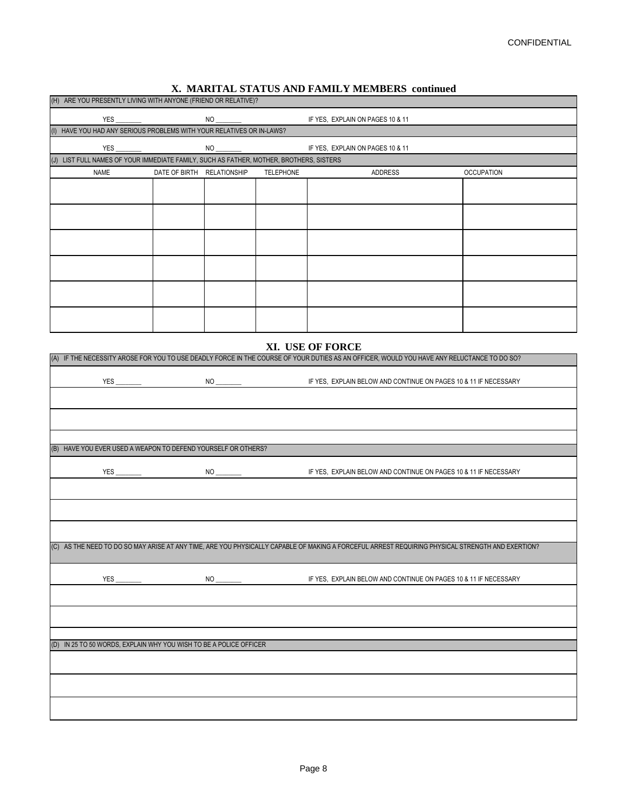#### **X. MARITAL STATUS AND FAMILY MEMBERS continued**

| (H) ARE YOU PRESENTLY LIVING WITH ANYONE (FRIEND OR RELATIVE)?                                                                                                 |                            |                    |                  |                                                                                                                                                  |                   |  |  |  |  |
|----------------------------------------------------------------------------------------------------------------------------------------------------------------|----------------------------|--------------------|------------------|--------------------------------------------------------------------------------------------------------------------------------------------------|-------------------|--|--|--|--|
|                                                                                                                                                                |                            |                    |                  | IF YES, EXPLAIN ON PAGES 10 & 11                                                                                                                 |                   |  |  |  |  |
| (I) HAVE YOU HAD ANY SERIOUS PROBLEMS WITH YOUR RELATIVES OR IN-LAWS?                                                                                          |                            |                    |                  |                                                                                                                                                  |                   |  |  |  |  |
|                                                                                                                                                                |                            |                    |                  |                                                                                                                                                  |                   |  |  |  |  |
| (J) LIST FULL NAMES OF YOUR IMMEDIATE FAMILY, SUCH AS FATHER, MOTHER, BROTHERS, SISTERS                                                                        |                            |                    |                  |                                                                                                                                                  |                   |  |  |  |  |
| <b>NAME</b>                                                                                                                                                    | DATE OF BIRTH RELATIONSHIP |                    | <b>TELEPHONE</b> | <b>ADDRESS</b>                                                                                                                                   | <b>OCCUPATION</b> |  |  |  |  |
|                                                                                                                                                                |                            |                    |                  |                                                                                                                                                  |                   |  |  |  |  |
|                                                                                                                                                                |                            |                    |                  |                                                                                                                                                  |                   |  |  |  |  |
|                                                                                                                                                                |                            |                    |                  |                                                                                                                                                  |                   |  |  |  |  |
|                                                                                                                                                                |                            |                    |                  |                                                                                                                                                  |                   |  |  |  |  |
|                                                                                                                                                                |                            |                    |                  |                                                                                                                                                  |                   |  |  |  |  |
|                                                                                                                                                                |                            |                    |                  |                                                                                                                                                  |                   |  |  |  |  |
|                                                                                                                                                                |                            |                    |                  |                                                                                                                                                  |                   |  |  |  |  |
|                                                                                                                                                                |                            |                    |                  |                                                                                                                                                  |                   |  |  |  |  |
|                                                                                                                                                                |                            |                    |                  |                                                                                                                                                  |                   |  |  |  |  |
|                                                                                                                                                                |                            |                    |                  |                                                                                                                                                  |                   |  |  |  |  |
|                                                                                                                                                                |                            |                    |                  |                                                                                                                                                  |                   |  |  |  |  |
|                                                                                                                                                                |                            |                    |                  |                                                                                                                                                  |                   |  |  |  |  |
| XI. USE OF FORCE<br>(A) IF THE NECESSITY AROSE FOR YOU TO USE DEADLY FORCE IN THE COURSE OF YOUR DUTIES AS AN OFFICER, WOULD YOU HAVE ANY RELUCTANCE TO DO SO? |                            |                    |                  |                                                                                                                                                  |                   |  |  |  |  |
|                                                                                                                                                                |                            |                    |                  |                                                                                                                                                  |                   |  |  |  |  |
|                                                                                                                                                                |                            |                    |                  |                                                                                                                                                  |                   |  |  |  |  |
|                                                                                                                                                                |                            |                    |                  |                                                                                                                                                  |                   |  |  |  |  |
|                                                                                                                                                                |                            |                    |                  |                                                                                                                                                  |                   |  |  |  |  |
|                                                                                                                                                                |                            |                    |                  |                                                                                                                                                  |                   |  |  |  |  |
|                                                                                                                                                                |                            |                    |                  |                                                                                                                                                  |                   |  |  |  |  |
| (B) HAVE YOU EVER USED A WEAPON TO DEFEND YOURSELF OR OTHERS?                                                                                                  |                            |                    |                  |                                                                                                                                                  |                   |  |  |  |  |
| <b>YES</b>                                                                                                                                                     |                            |                    |                  | IF YES, EXPLAIN BELOW AND CONTINUE ON PAGES 10 & 11 IF NECESSARY                                                                                 |                   |  |  |  |  |
|                                                                                                                                                                |                            |                    |                  |                                                                                                                                                  |                   |  |  |  |  |
|                                                                                                                                                                |                            |                    |                  |                                                                                                                                                  |                   |  |  |  |  |
|                                                                                                                                                                |                            |                    |                  |                                                                                                                                                  |                   |  |  |  |  |
|                                                                                                                                                                |                            |                    |                  |                                                                                                                                                  |                   |  |  |  |  |
|                                                                                                                                                                |                            |                    |                  |                                                                                                                                                  |                   |  |  |  |  |
|                                                                                                                                                                |                            |                    |                  | (C) AS THE NEED TO DO SO MAY ARISE AT ANY TIME, ARE YOU PHYSICALLY CAPABLE OF MAKING A FORCEFUL ARREST REQUIRING PHYSICAL STRENGTH AND EXERTION? |                   |  |  |  |  |
|                                                                                                                                                                |                            |                    |                  |                                                                                                                                                  |                   |  |  |  |  |
| YES_                                                                                                                                                           |                            | $NO$ <sub>——</sub> |                  | IF YES, EXPLAIN BELOW AND CONTINUE ON PAGES 10 & 11 IF NECESSARY                                                                                 |                   |  |  |  |  |
|                                                                                                                                                                |                            |                    |                  |                                                                                                                                                  |                   |  |  |  |  |
|                                                                                                                                                                |                            |                    |                  |                                                                                                                                                  |                   |  |  |  |  |
|                                                                                                                                                                |                            |                    |                  |                                                                                                                                                  |                   |  |  |  |  |
|                                                                                                                                                                |                            |                    |                  |                                                                                                                                                  |                   |  |  |  |  |
| (D) IN 25 TO 50 WORDS, EXPLAIN WHY YOU WISH TO BE A POLICE OFFICER                                                                                             |                            |                    |                  |                                                                                                                                                  |                   |  |  |  |  |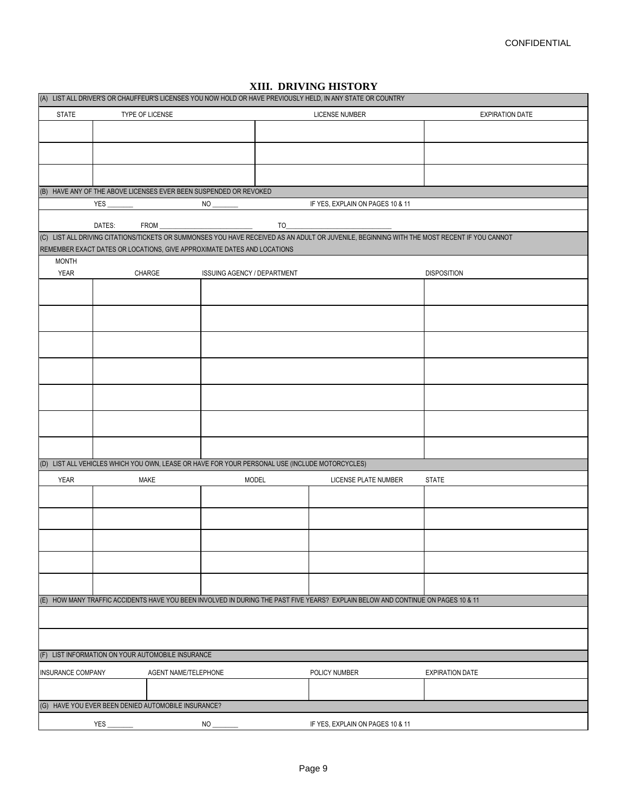|                          | (A) LIST ALL DRIVER'S OR CHAUFFEUR'S LICENSES YOU NOW HOLD OR HAVE PREVIOUSLY HELD, IN ANY STATE OR COUNTRY |                                                                                                                                                                                                                                                                                                                                                                      |       |                                                                                                                                             |                        |
|--------------------------|-------------------------------------------------------------------------------------------------------------|----------------------------------------------------------------------------------------------------------------------------------------------------------------------------------------------------------------------------------------------------------------------------------------------------------------------------------------------------------------------|-------|---------------------------------------------------------------------------------------------------------------------------------------------|------------------------|
| <b>STATE</b>             | TYPE OF LICENSE                                                                                             |                                                                                                                                                                                                                                                                                                                                                                      |       | <b>LICENSE NUMBER</b>                                                                                                                       | <b>EXPIRATION DATE</b> |
|                          |                                                                                                             |                                                                                                                                                                                                                                                                                                                                                                      |       |                                                                                                                                             |                        |
|                          |                                                                                                             |                                                                                                                                                                                                                                                                                                                                                                      |       |                                                                                                                                             |                        |
|                          |                                                                                                             |                                                                                                                                                                                                                                                                                                                                                                      |       |                                                                                                                                             |                        |
|                          |                                                                                                             |                                                                                                                                                                                                                                                                                                                                                                      |       |                                                                                                                                             |                        |
|                          | (B) HAVE ANY OF THE ABOVE LICENSES EVER BEEN SUSPENDED OR REVOKED                                           |                                                                                                                                                                                                                                                                                                                                                                      |       |                                                                                                                                             |                        |
|                          |                                                                                                             | $NO \longrightarrow$                                                                                                                                                                                                                                                                                                                                                 |       | IF YES, EXPLAIN ON PAGES 10 & 11                                                                                                            |                        |
|                          | DATES:                                                                                                      | $FROM \begin{picture}(100,10) \put(0,0){\vector(1,0){100}} \put(15,0){\vector(1,0){100}} \put(15,0){\vector(1,0){100}} \put(15,0){\vector(1,0){100}} \put(15,0){\vector(1,0){100}} \put(15,0){\vector(1,0){100}} \put(15,0){\vector(1,0){100}} \put(15,0){\vector(1,0){100}} \put(15,0){\vector(1,0){100}} \put(15,0){\vector(1,0){100}} \put(15,0){\vector(1,0){10$ | $TO_$ |                                                                                                                                             |                        |
|                          |                                                                                                             |                                                                                                                                                                                                                                                                                                                                                                      |       | (C) LIST ALL DRIVING CITATIONS/TICKETS OR SUMMONSES YOU HAVE RECEIVED AS AN ADULT OR JUVENILE, BEGINNING WITH THE MOST RECENT IF YOU CANNOT |                        |
|                          | REMEMBER EXACT DATES OR LOCATIONS, GIVE APPROXIMATE DATES AND LOCATIONS                                     |                                                                                                                                                                                                                                                                                                                                                                      |       |                                                                                                                                             |                        |
| <b>MONTH</b>             |                                                                                                             |                                                                                                                                                                                                                                                                                                                                                                      |       |                                                                                                                                             |                        |
| <b>YEAR</b>              | CHARGE                                                                                                      | <b>ISSUING AGENCY / DEPARTMENT</b>                                                                                                                                                                                                                                                                                                                                   |       |                                                                                                                                             | <b>DISPOSITION</b>     |
|                          |                                                                                                             |                                                                                                                                                                                                                                                                                                                                                                      |       |                                                                                                                                             |                        |
|                          |                                                                                                             |                                                                                                                                                                                                                                                                                                                                                                      |       |                                                                                                                                             |                        |
|                          |                                                                                                             |                                                                                                                                                                                                                                                                                                                                                                      |       |                                                                                                                                             |                        |
|                          |                                                                                                             |                                                                                                                                                                                                                                                                                                                                                                      |       |                                                                                                                                             |                        |
|                          |                                                                                                             |                                                                                                                                                                                                                                                                                                                                                                      |       |                                                                                                                                             |                        |
|                          |                                                                                                             |                                                                                                                                                                                                                                                                                                                                                                      |       |                                                                                                                                             |                        |
|                          |                                                                                                             |                                                                                                                                                                                                                                                                                                                                                                      |       |                                                                                                                                             |                        |
|                          | (D) LIST ALL VEHICLES WHICH YOU OWN, LEASE OR HAVE FOR YOUR PERSONAL USE (INCLUDE MOTORCYCLES)              |                                                                                                                                                                                                                                                                                                                                                                      |       |                                                                                                                                             |                        |
| <b>YEAR</b>              | <b>MAKE</b>                                                                                                 | <b>MODEL</b>                                                                                                                                                                                                                                                                                                                                                         |       | <b>LICENSE PLATE NUMBER</b>                                                                                                                 | <b>STATE</b>           |
|                          |                                                                                                             |                                                                                                                                                                                                                                                                                                                                                                      |       |                                                                                                                                             |                        |
|                          |                                                                                                             |                                                                                                                                                                                                                                                                                                                                                                      |       |                                                                                                                                             |                        |
|                          |                                                                                                             |                                                                                                                                                                                                                                                                                                                                                                      |       |                                                                                                                                             |                        |
|                          |                                                                                                             |                                                                                                                                                                                                                                                                                                                                                                      |       |                                                                                                                                             |                        |
|                          |                                                                                                             |                                                                                                                                                                                                                                                                                                                                                                      |       |                                                                                                                                             |                        |
|                          |                                                                                                             |                                                                                                                                                                                                                                                                                                                                                                      |       |                                                                                                                                             |                        |
|                          |                                                                                                             |                                                                                                                                                                                                                                                                                                                                                                      |       | (E) HOW MANY TRAFFIC ACCIDENTS HAVE YOU BEEN INVOLVED IN DURING THE PAST FIVE YEARS? EXPLAIN BELOW AND CONTINUE ON PAGES 10 & 11            |                        |
|                          |                                                                                                             |                                                                                                                                                                                                                                                                                                                                                                      |       |                                                                                                                                             |                        |
|                          |                                                                                                             |                                                                                                                                                                                                                                                                                                                                                                      |       |                                                                                                                                             |                        |
|                          | (F) LIST INFORMATION ON YOUR AUTOMOBILE INSURANCE                                                           |                                                                                                                                                                                                                                                                                                                                                                      |       |                                                                                                                                             |                        |
| <b>INSURANCE COMPANY</b> | AGENT NAME/TELEPHONE                                                                                        |                                                                                                                                                                                                                                                                                                                                                                      |       | POLICY NUMBER                                                                                                                               | <b>EXPIRATION DATE</b> |
|                          |                                                                                                             |                                                                                                                                                                                                                                                                                                                                                                      |       |                                                                                                                                             |                        |
|                          | (G) HAVE YOU EVER BEEN DENIED AUTOMOBILE INSURANCE?                                                         |                                                                                                                                                                                                                                                                                                                                                                      |       |                                                                                                                                             |                        |
|                          | <b>YES</b>                                                                                                  | NO                                                                                                                                                                                                                                                                                                                                                                   |       | IF YES, EXPLAIN ON PAGES 10 & 11                                                                                                            |                        |

## **XIII. DRIVING HISTORY**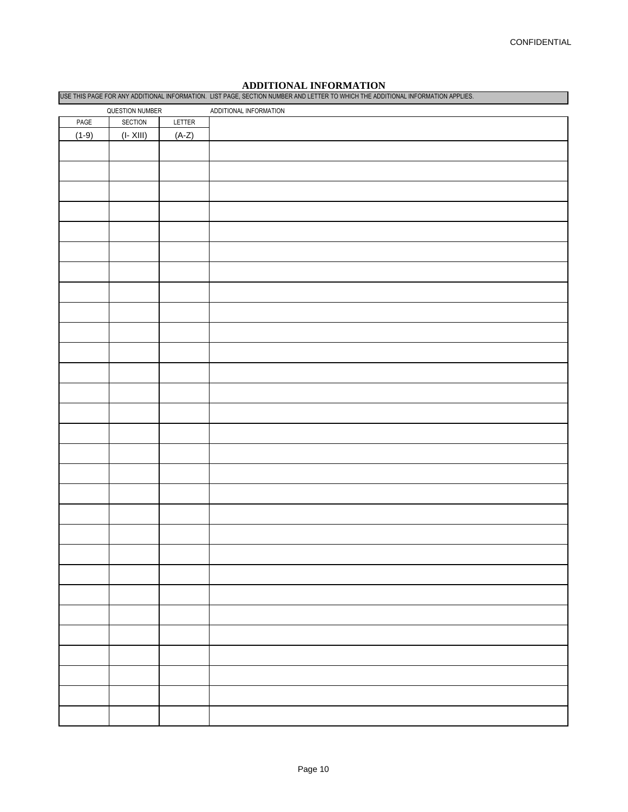# **ADDITIONAL INFORMATION**

| USE THIS PAGE FOR ANY ADDITIONAL INFORMATION. LIST PAGE, SECTION NUMBER AND LETTER TO WHICH THE ADDITIONAL INFORMATION APPLIES. |              |         |                        |  |  |  |
|---------------------------------------------------------------------------------------------------------------------------------|--------------|---------|------------------------|--|--|--|
| QUESTION NUMBER                                                                                                                 |              |         | ADDITIONAL INFORMATION |  |  |  |
| PAGE                                                                                                                            | SECTION      | LETTER  |                        |  |  |  |
| $(1-9)$                                                                                                                         | $(I - XIII)$ | $(A-Z)$ |                        |  |  |  |
|                                                                                                                                 |              |         |                        |  |  |  |
|                                                                                                                                 |              |         |                        |  |  |  |
|                                                                                                                                 |              |         |                        |  |  |  |
|                                                                                                                                 |              |         |                        |  |  |  |
|                                                                                                                                 |              |         |                        |  |  |  |
|                                                                                                                                 |              |         |                        |  |  |  |
|                                                                                                                                 |              |         |                        |  |  |  |
|                                                                                                                                 |              |         |                        |  |  |  |
|                                                                                                                                 |              |         |                        |  |  |  |
|                                                                                                                                 |              |         |                        |  |  |  |
|                                                                                                                                 |              |         |                        |  |  |  |
|                                                                                                                                 |              |         |                        |  |  |  |
|                                                                                                                                 |              |         |                        |  |  |  |
|                                                                                                                                 |              |         |                        |  |  |  |
|                                                                                                                                 |              |         |                        |  |  |  |
|                                                                                                                                 |              |         |                        |  |  |  |
|                                                                                                                                 |              |         |                        |  |  |  |
|                                                                                                                                 |              |         |                        |  |  |  |
|                                                                                                                                 |              |         |                        |  |  |  |
|                                                                                                                                 |              |         |                        |  |  |  |
|                                                                                                                                 |              |         |                        |  |  |  |
|                                                                                                                                 |              |         |                        |  |  |  |
|                                                                                                                                 |              |         |                        |  |  |  |
|                                                                                                                                 |              |         |                        |  |  |  |
|                                                                                                                                 |              |         |                        |  |  |  |
|                                                                                                                                 |              |         |                        |  |  |  |
|                                                                                                                                 |              |         |                        |  |  |  |
|                                                                                                                                 |              |         |                        |  |  |  |
|                                                                                                                                 |              |         |                        |  |  |  |
|                                                                                                                                 |              |         |                        |  |  |  |
|                                                                                                                                 |              |         |                        |  |  |  |
|                                                                                                                                 |              |         |                        |  |  |  |